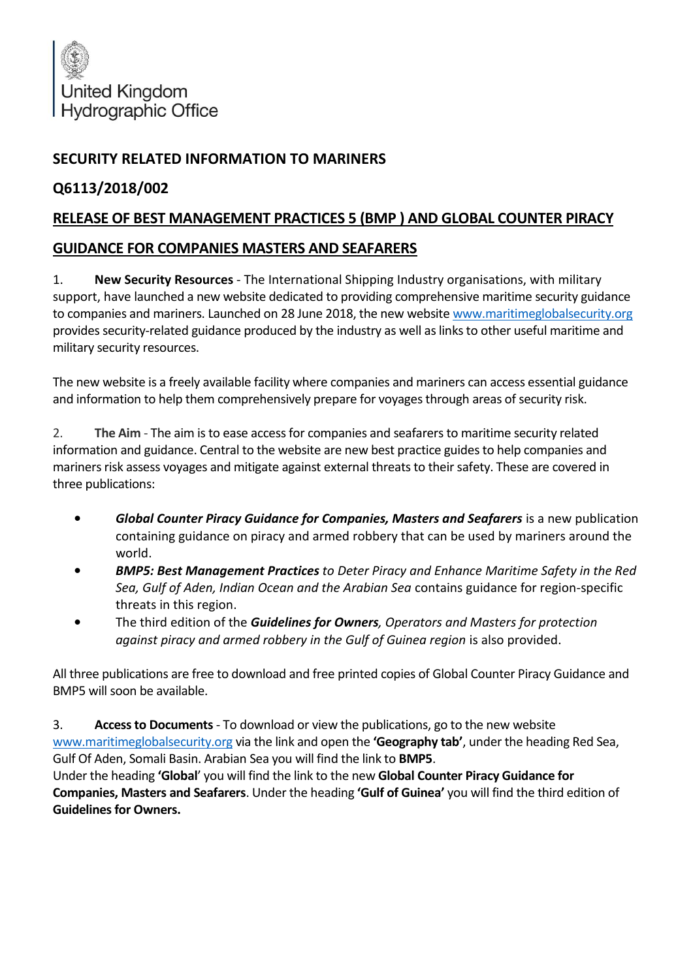

## **SECURITY RELATED INFORMATION TO MARINERS**

## **Q6113/2018/002**

## **RELEASE OF BEST MANAGEMENT PRACTICES 5 (BMP ) AND GLOBAL COUNTER PIRACY**

## **GUIDANCE FOR COMPANIES MASTERS AND SEAFARERS**

1. **New Security Resources** - The International Shipping Industry organisations, with military support, have launched a new website dedicated to providing comprehensive maritime security guidance to companies and mariners. Launched on 28 June 2018, the new website [www.maritimeglobalsecurity.org](http://www.maritimeglobalsecurity.org/) provides security-related guidance produced by the industry as well as links to other useful maritime and military security resources.

The new website is a freely available facility where companies and mariners can access essential guidance and information to help them comprehensively prepare for voyages through areas of security risk.

2. **The Aim** - The aim is to ease access for companies and seafarers to maritime security related information and guidance. Central to the website are new best practice guides to help companies and mariners risk assess voyages and mitigate against external threats to their safety. These are covered in three publications:

- *Global Counter Piracy Guidance for Companies, Masters and Seafarers* is a new publication containing guidance on piracy and armed robbery that can be used by mariners around the world.
- *BMP5: Best Management Practices to Deter Piracy and Enhance Maritime Safety in the Red Sea, Gulf of Aden, Indian Ocean and the Arabian Sea* contains guidance for region-specific threats in this region.
- The third edition of the *Guidelines for Owners, Operators and Masters for protection against piracy and armed robbery in the Gulf of Guinea region* is also provided.

All three publications are free to download and free printed copies of Global Counter Piracy Guidance and BMP5 will soon be available.

3. **Access to Documents**- To download or view the publications, go to the new website [www.maritimeglobalsecurity.org](http://www.maritimeglobalsecurity.org/) via the link and open the **'Geography tab'**, under the heading Red Sea, Gulf Of Aden, Somali Basin. Arabian Sea you will find the link to **BMP5**.

Under the heading **'Global**' you will find the link to the new **Global Counter Piracy Guidance for Companies, Masters and Seafarers**. Under the heading **'Gulf of Guinea'** you will find the third edition of **Guidelines for Owners.**